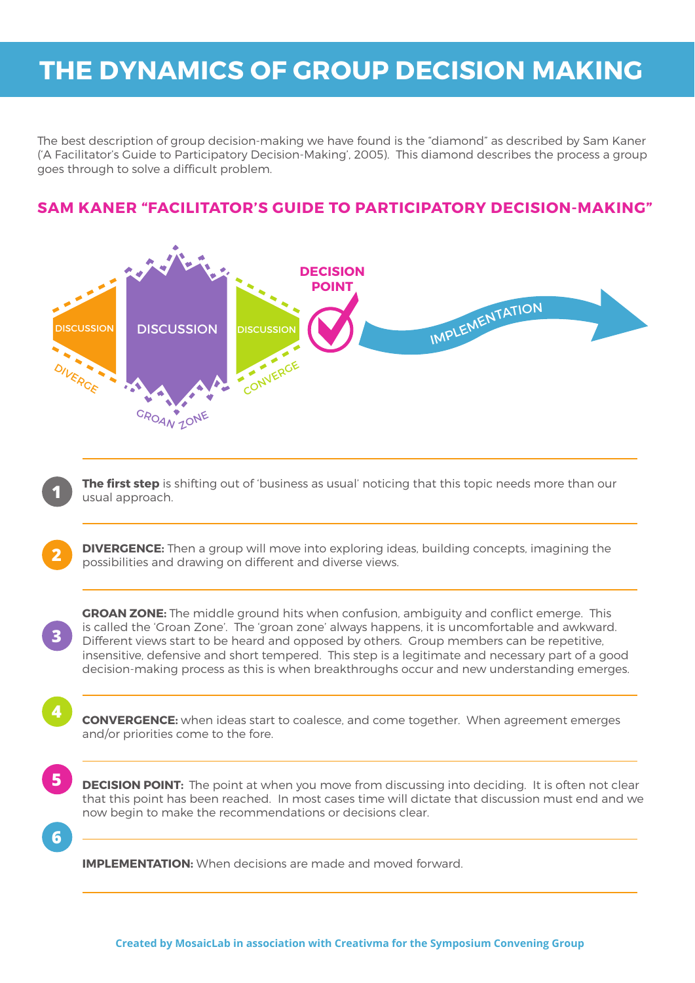# **The Dynamics of Group Decision Making**

The best description of group decision-making we have found is the "diamond" as described by Sam Kaner ('A Facilitator's Guide to Participatory Decision-Making', 2005). This diamond describes the process a group goes through to solve a difficult problem.

# **Sam Kaner "Facilitator's Guide to Participatory Decision-Making"**



**The first step** is shifting out of 'business as usual' noticing that this topic needs more than our usual approach. **1**

**DIVERGENCE:** Then a group will move into exploring ideas, building concepts, imagining the possibilities and drawing on different and diverse views. **2**

**GROAN ZONE:** The middle ground hits when confusion, ambiguity and conflict emerge. This is called the 'Groan Zone'. The 'groan zone' always happens, it is uncomfortable and awkward. Different views start to be heard and opposed by others. Group members can be repetitive, insensitive, defensive and short tempered. This step is a legitimate and necessary part of a good decision-making process as this is when breakthroughs occur and new understanding emerges.

**CONVERGENCE:** when ideas start to coalesce, and come together. When agreement emerges and/or priorities come to the fore.

**5**

**6**

**3**

**4**

**DECISION POINT:** The point at when you move from discussing into deciding. It is often not clear that this point has been reached. In most cases time will dictate that discussion must end and we now begin to make the recommendations or decisions clear.

**IMPLEMENTATION:** When decisions are made and moved forward.